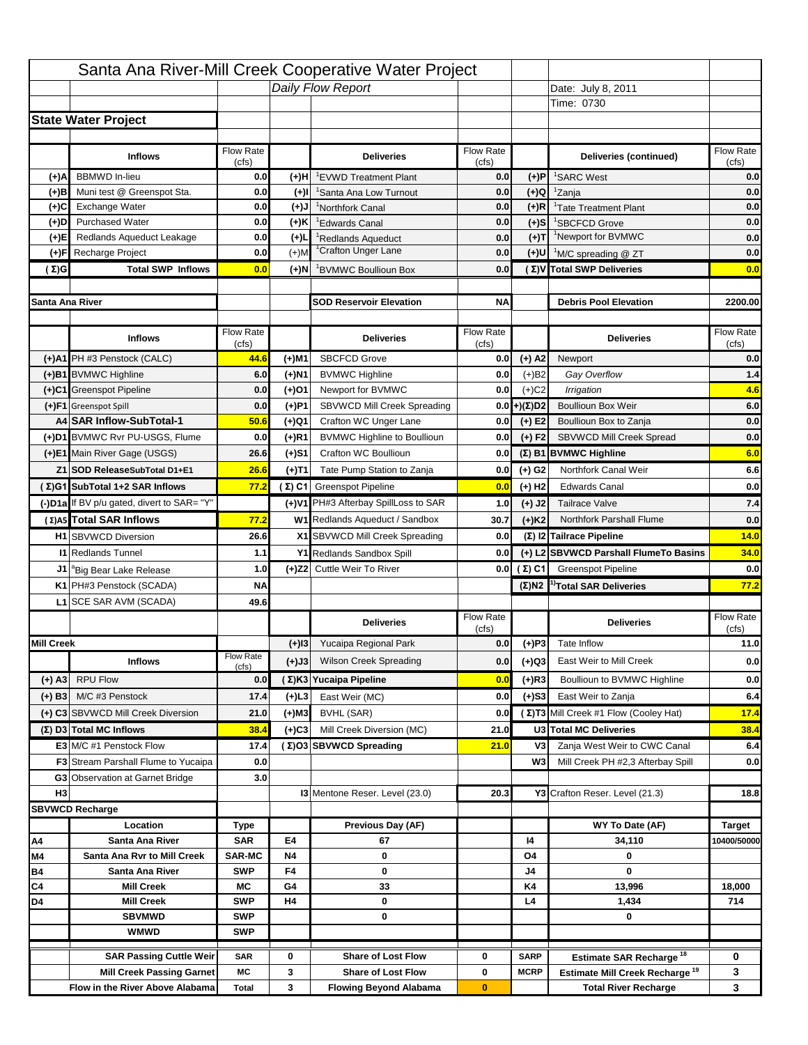|                   |                                                     |                    |                | Santa Ana River-Mill Creek Cooperative Water Project |                           |                       |                                                             |                                          |
|-------------------|-----------------------------------------------------|--------------------|----------------|------------------------------------------------------|---------------------------|-----------------------|-------------------------------------------------------------|------------------------------------------|
|                   |                                                     |                    |                | Daily Flow Report                                    |                           |                       | Date: July 29, 2011                                         |                                          |
|                   |                                                     |                    |                |                                                      |                           |                       | Time: 0745                                                  |                                          |
|                   | <b>State Water Project</b>                          |                    |                |                                                      |                           |                       |                                                             |                                          |
|                   |                                                     |                    |                |                                                      |                           |                       |                                                             |                                          |
|                   | <b>Inflows</b>                                      | <b>Flow Rate</b>   |                | <b>Deliveries</b>                                    | <b>Flow Rate</b>          |                       | Deliveries (continued)                                      | Flow Rate                                |
|                   |                                                     | (cfs)              |                |                                                      | (cts)                     |                       |                                                             | (cfs)                                    |
| (+)A              | <b>BBMWD</b> In-lieu                                | 0.0                | (+)H           | <sup>1</sup> EVWD Treatment Plant                    | 0.0                       | $(+)P$                | <sup>1</sup> SARC West                                      | 0.0                                      |
| (+)B              | Muni test @ Greenspot Sta.                          | 0.0                | $(+)$          | 'Santa Ana Low Turnout                               | 0.0                       | (+)Q                  | <sup>1</sup> Zanja                                          | 0.0                                      |
| (+)C              | <b>Exchange Water</b>                               | 0.0                | (+)J           | <sup>1</sup> Northfork Canal                         | 0.0                       | $(+)R$                | <sup>1</sup> Tate Treatment Plant                           | 0.0                                      |
| (+)D<br>(+)E      | <b>Purchased Water</b><br>Redlands Aqueduct Leakage | 0.0<br>0.0         | (+)K<br>$(+)1$ | <sup>1</sup> Edwards Canal                           | 0.0                       | $(+)$ S<br>$(+)T$     | <sup>1</sup> SBCFCD Grove<br><sup>1</sup> Newport for BVMWC | 0.0<br>0.0                               |
| (+)F              | Recharge Project                                    | 0.0                | $(+)$ M        | Redlands Aqueduct<br><sup>1</sup> Crafton Unger Lane | 0.0<br>0.0                | $(+)$ U               | <sup>1</sup> M/C spreading @ ZT                             | 0.0                                      |
| $(\Sigma)$ G      | <b>Total SWP Inflows</b>                            | 0.0                | (+)N           | BVMWC Boullioun Box                                  | 0.0                       |                       | (Σ)V Total SWP Deliveries                                   | 0.0                                      |
|                   |                                                     |                    |                |                                                      |                           |                       |                                                             |                                          |
| Santa Ana River   |                                                     |                    |                | <b>SOD Reservoir Elevation</b>                       | <b>NA</b>                 |                       | <b>Debris Pool Elevation</b>                                | 2200.00                                  |
|                   |                                                     |                    |                |                                                      |                           |                       |                                                             |                                          |
|                   | <b>Inflows</b>                                      | Flow Rate<br>(cfs) |                | <b>Deliveries</b>                                    | <b>Flow Rate</b><br>(cts) |                       | <b>Deliveries</b>                                           | Flow Rate<br>(cfs)                       |
|                   | (+)A1 PH #3 Penstock (CALC)                         | 33.8               | (+)M1          | <b>SBCFCD Grove</b>                                  | 0.0                       | $(+)$ A2              | Newport                                                     | 0.0                                      |
|                   | (+)B1 BVMWC Highline                                | 6.0                | (+)N1          | <b>BVMWC Highline</b>                                | 0.0                       | $(+)B2$               | Gay Overflow                                                | 2.6                                      |
|                   | (+)C1 Greenspot Pipeline                            | 0.0                | (+)O1          | Newport for BVMWC                                    | 0.0                       | $(+)$ C <sub>2</sub>  | Irrigation                                                  | 3.4                                      |
|                   | (+)F1 Greenspot Spill                               | 0.0                | $(+)$ P1       | SBVWCD Mill Creek Spreading                          | 0.0                       | $(+)(\Sigma)D2$       | <b>Boullioun Box Weir</b>                                   | 6.0                                      |
|                   | A4 SAR Inflow-SubTotal-1                            | 39.8               | (+)Q1          | Crafton WC Unger Lane                                | 0.0                       | $(+)$ E2              | Boullioun Box to Zanja                                      | 0.0                                      |
|                   | (+)D1 BVMWC Rvr PU-USGS, Flume                      | 0.0                | (+)R1          | <b>BVMWC Highline to Boullioun</b>                   | 0.0                       | $(+) F2$              | SBVWCD Mill Creek Spread                                    | 0.0                                      |
|                   | (+)E1 Main River Gage (USGS)                        | 18.0               | $(+)S1$        | <b>Crafton WC Boullioun</b>                          | 0.0                       |                       | $(\Sigma)$ B1 BVMWC Highline                                | 6.0                                      |
|                   | Z1 SOD ReleaseSubTotal D1+E1                        | 18.0               | (+)T1          | Tate Pump Station to Zanja                           | 0.0                       | $(+)$ G <sub>2</sub>  | Northfork Canal Weir                                        | 6.3                                      |
|                   | (Σ)G1 SubTotal 1+2 SAR Inflows                      | 57.8               |                | $(Σ) C1$ Greenspot Pipeline                          | 0.0                       | $(+)$ H <sub>2</sub>  | <b>Edwards Canal</b>                                        | 0.8                                      |
|                   | (-)D1a If BV p/u gated, divert to SAR= "Y"          |                    |                | (+)V1 PH#3 Afterbay SpillLoss to SAR                 | 0.0                       | (+) J2                | <b>Tailrace Valve</b>                                       | 0.0                                      |
|                   | (Σ)A5 Total SAR Inflows                             | 57.8               |                | W1 Redlands Aqueduct / Sandbox                       | 27.5                      | $(+)$ K2              | Northfork Parshall Flume                                    | 0.0                                      |
|                   |                                                     |                    |                |                                                      |                           |                       |                                                             |                                          |
|                   | <b>H1</b> SBVWCD Diversion                          | 18.0               |                |                                                      | 0.0                       |                       |                                                             |                                          |
|                   | <b>11 Redlands Tunnel</b>                           |                    |                | X1 SBVWCD Mill Creek Spreading                       | 0.0                       |                       | (Σ) I2 Tailrace Pipeline                                    | 7.1                                      |
|                   |                                                     | 0.8                |                | Y1 Redlands Sandbox Spill                            |                           |                       | (+) L2 SBVWCD Parshall FlumeTo Basins                       | 18.0                                     |
| J1                | <sup>a</sup> Big Bear Lake Release                  | 1.0                |                | (+)Z2 Cuttle Weir To River                           |                           | $0.0$ ( $\Sigma$ ) C1 | <b>Greenspot Pipeline</b>                                   |                                          |
|                   | K1 PH#3 Penstock (SCADA)                            | NA                 |                |                                                      |                           | $(\Sigma)$ N2         | <sup>1)</sup> Total SAR Deliveries                          |                                          |
|                   | L1 SCE SAR AVM (SCADA)                              | 39.7               |                |                                                      | Flow Rate                 |                       |                                                             | Flow Rate                                |
|                   |                                                     |                    |                | <b>Deliveries</b>                                    | (cts)                     |                       | <b>Deliveries</b>                                           | (cfs)                                    |
| <b>Mill Creek</b> |                                                     |                    |                | (+)I3 Yucaipa Regional Park                          | 0.0                       | $(+)P3$               | Tate Inflow                                                 |                                          |
|                   | <b>Inflows</b>                                      | Flow Rate          | (+)J3          | Wilson Creek Spreading                               | 0.0                       | (+)Q3                 | East Weir to Mill Creek                                     |                                          |
| $(+)$ A3          | <b>RPU Flow</b>                                     | (cfs)<br>15.6      |                | (Σ) K3 Yucaipa Pipeline                              | 0.0                       | $(+)$ R3              | Boullioun to BVMWC Highline                                 |                                          |
| $(+)$ B3          | M/C #3 Penstock                                     | 16.2               | (+)L3          | East Weir (MC)                                       | 4.0                       | $(+)$ S3              | East Weir to Zanja                                          | 0.0<br>57.8<br>18.6<br>4.0<br>0.0<br>9.2 |
|                   | (+) C3 SBVWCD Mill Creek Diversion                  | 0.0                | (+)M3          | BVHL (SAR)                                           | 0.0                       |                       | (Σ) T3 Mill Creek #1 Flow (Cooley Hat)                      | 31.8                                     |
|                   | (Σ) D3 Total MC Inflows                             | 31.8               | $(+)$ C3       | Mill Creek Diversion (MC)                            | 0.0                       |                       | U3 Total MC Deliveries                                      | 31.8                                     |
|                   | <b>E3</b> M/C #1 Penstock Flow                      | 31.8               |                | (Σ)O3 SBVWCD Spreading                               | 4.0                       | V3                    | Zanja West Weir to CWC Canal                                | 9.2                                      |
|                   | <b>F3</b> Stream Parshall Flume to Yucaipa          | 0.0                |                |                                                      |                           | W <sub>3</sub>        | Mill Creek PH #2,3 Afterbay Spill                           | 0.0                                      |
|                   | <b>G3</b> Observation at Garnet Bridge              | 3.0                |                |                                                      |                           |                       |                                                             |                                          |
| H <sub>3</sub>    |                                                     |                    |                | <b>13 Mentone Reser. Level (23.0)</b>                | 20.8                      |                       | Y3 Crafton Reser. Level (21.3)                              | 19.0                                     |
|                   | <b>SBVWCD Recharge</b>                              |                    |                |                                                      |                           |                       |                                                             |                                          |
|                   | Location                                            | Type               |                | Previous Day (AF)                                    |                           |                       | WY To Date (AF)                                             | Target                                   |
| A4                | Santa Ana River                                     | <b>SAR</b>         | E4             | 36                                                   |                           | 14                    | 35,123                                                      |                                          |
| M4                | Santa Ana Ryr to Mill Creek                         | <b>SAR-MC</b>      | Ν4             | 0                                                    |                           | O4                    | 0                                                           |                                          |
| <b>B4</b>         | Santa Ana River                                     | <b>SWP</b>         | F4             | 0                                                    |                           | J4                    | 0                                                           |                                          |
| C4                | <b>Mill Creek</b>                                   | МC                 | G4             | 8                                                    |                           | K4                    | 14,406                                                      | 18,000                                   |
| D4                | <b>Mill Creek</b>                                   | <b>SWP</b>         | H4             | 0                                                    |                           | L4                    | 1,434                                                       | 714                                      |
|                   | <b>SBVMWD</b>                                       | <b>SWP</b>         |                | 0                                                    |                           |                       | 0                                                           | 10400/50000                              |
|                   | <b>WMWD</b>                                         | <b>SWP</b>         |                |                                                      |                           |                       |                                                             |                                          |
|                   | <b>SAR Passing Cuttle Weir</b>                      | <b>SAR</b>         | 0              | <b>Share of Lost Flow</b>                            | 0                         | <b>SARP</b>           | Estimate SAR Recharge <sup>18</sup>                         | 0                                        |
|                   | <b>Mill Creek Passing Garnet</b>                    | МC                 | 3              | <b>Share of Lost Flow</b>                            | 0                         | <b>MCRP</b>           | <b>Estimate Mill Creek Recharge<sup>19</sup></b>            | 3                                        |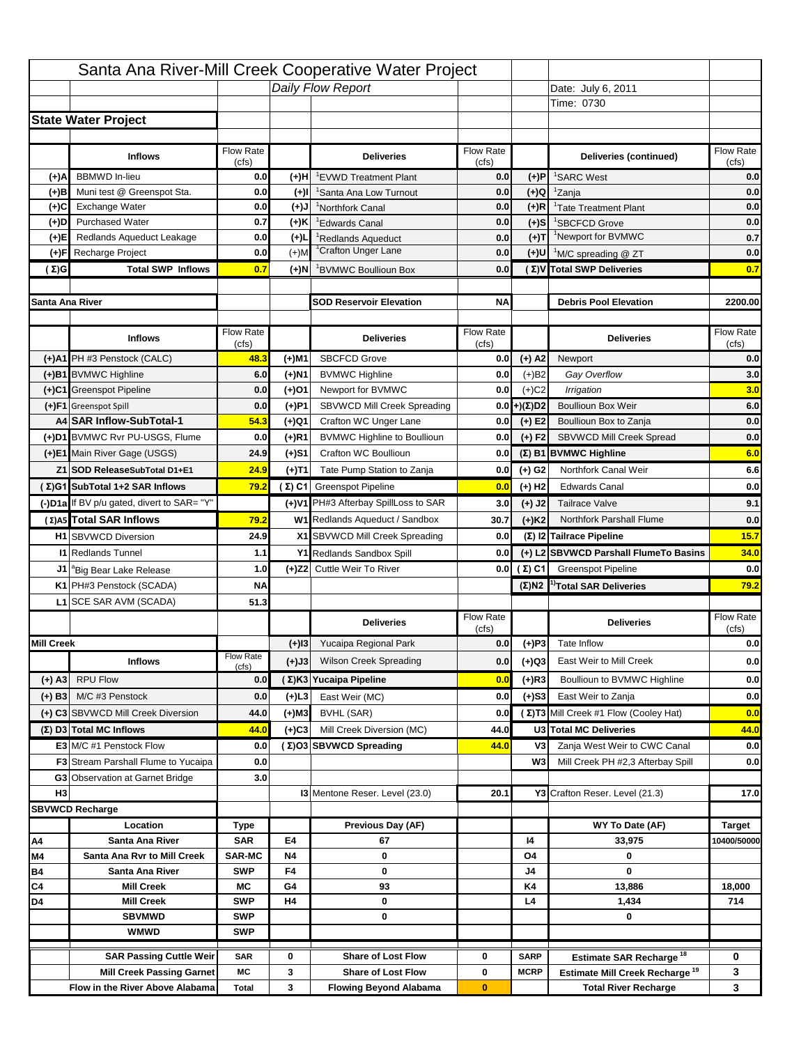|                  |                                                    |                    |                 | Santa Ana River-Mill Creek Cooperative Water Project        |                    |                      |                                              |                                   |
|------------------|----------------------------------------------------|--------------------|-----------------|-------------------------------------------------------------|--------------------|----------------------|----------------------------------------------|-----------------------------------|
|                  |                                                    |                    |                 | Daily Flow Report                                           |                    |                      | Date: July 27, 2011                          |                                   |
|                  |                                                    |                    |                 |                                                             |                    |                      | Time: 0715                                   |                                   |
|                  | Sae WaerPiect                                      |                    |                 |                                                             |                    |                      |                                              |                                   |
|                  |                                                    |                    |                 |                                                             |                    |                      |                                              |                                   |
|                  | Inflor                                             | Flow Rate          |                 | <b>Deligies</b>                                             | Flow Rate          |                      | Delicres(cotned)                             | Flow Rate                         |
|                  | <b>BBMWD</b> In-lieu                               | (cfs)              |                 |                                                             | (cfs)              |                      |                                              | (cfs)                             |
| (+)A<br>(+)B     | Muni test @ Greenspot Sta.                         | 0.0<br>0.0         | (+)H<br>$(+)$ l | 'EVWD Treatment Plant<br><sup>1</sup> Santa Ana Low Turnout | 0.0<br>0.0         | (+)P<br>$(+)Q$       | <sup>1</sup> SARC West<br><sup>1</sup> Zanja | 0.0<br>0.0                        |
| (+)C             | Exchange Water                                     | 0.0                | $(L(+)$         | <sup>1</sup> Northfork Canal                                | 0.0                | $(+)R$               | <sup>1</sup> Tate Treatment Plant            | 0.0                               |
| $(+)D$           | <b>Purchased Water</b>                             | 0.7                | (+)K            | <sup>1</sup> Edwards Canal                                  | 0.0                | $(+)$ S              | <sup>1</sup> SBCFCD Grove                    | 0.0                               |
| (+)E             | Redlands Aqueduct Leakage                          | 0.0                | $(+)$ L         | Redlands Aqueduct                                           | 0.0                | $(+)T$               | <sup>1</sup> Newport for BVMWC               | 0.7                               |
| (+)F             | Recharge Project                                   | 0.0                | $(+)$ M         | <sup>1</sup> Crafton Unger Lane                             | 0.0                | $(+)$ U              | <sup>1</sup> M/C spreading @ ZT              | 0.0                               |
| (Σ)G             | Tel SWP Infler                                     | 0.7                | (+)N            | BVMWC Boullioun Box                                         | 0.0                |                      | (Σ) V Tal SWP Deliveres                      | 0.7                               |
|                  |                                                    |                    |                 |                                                             |                    |                      |                                              |                                   |
| Sana Ana Rier    |                                                    |                    |                 | <b>SOD ReeinEleato</b>                                      | <b>NA</b>          |                      | <b>DebisPbEleato</b>                         | 2200.00                           |
|                  |                                                    |                    |                 |                                                             |                    |                      |                                              |                                   |
|                  | Inflow                                             | Flow Rate<br>(cfs) |                 | <b>Deligies</b>                                             | Flow Rate<br>(cfs) |                      | <b>Deligies</b>                              | Flow Rate<br>(cts)                |
|                  | (+)A1 PH #3 Penstock (CALC)                        | 34.6               | (+)M1           | <b>SBCFCD Grove</b>                                         | 0.0                | $(+)$ A2             | Newport                                      | 0.0                               |
|                  | (+)B1 BVMWC Highline                               | 6.0                | $(+)$ N1        | <b>BVMWC Highline</b>                                       | 0.0                | $(+)B2$              | Gay Overflow                                 | 1.9                               |
|                  | (+)C1 Greenspot Pipeline                           | 0.0                | (+)O1           | Newport for BVMWC                                           | 0.0                | $(+)$ C <sub>2</sub> | Irrigation                                   | 4.1                               |
|                  | (+)F1 Greenspot Spill                              | 0.1                | $(+)$ P1        | SBVWCD Mill Creek Spreading                                 | 0.0                | $(+)(\Sigma)D2$      | <b>Boullioun Box Weir</b>                    | 6.0                               |
|                  | A4 SAR InfloSbTbl-1                                | 40.7               | (+)Q1           | Crafton WC Unger Lane                                       | 0.0                | $(+)$ E2             | Boullioun Box to Zanja                       | 0.0                               |
|                  | (+)D1 BVMWC Rvr PU-USGS, Flume                     | 0.0                | $(+)$ R1        | <b>BVMWC Highline to Boullioun</b>                          | 0.0                | $(+) F2$             | SBVWCD Mill Creek Spread                     | 0.0                               |
|                  | (+)E1 Main River Gage (USGS)                       | 18.0               | $(+)S1$         | Crafton WC Boullioun                                        | 0.0                |                      | $(\Sigma)$ B1 BVMWC Highline                 | 6.0                               |
|                  | Z1 SOD Releae SbTal D1+E1                          | 18.0               | (+)T1           | Tate Pump Station to Zanja                                  | 0.0                | $(+)$ G <sub>2</sub> | Northfork Canal Weir                         | 8.5                               |
|                  | (Σ)G1 SbTol 1+2 SAR Inflow                         | 58.7               |                 | (Σ) C1 Greenspot Pipeline                                   | 0.0                | $(+)$ H <sub>2</sub> | <b>Edwards Canal</b>                         | 0.9                               |
|                  | (-)D1a If BV p/u gated, divert to SAR= "Y"         |                    |                 | (+)V1 PH#3 Afterbay SpillLoss to SAR                        | 0.0                | (+) J2               | <b>Tailrace Valve</b>                        | 0.0                               |
|                  | (Σ)A5 Tbl SAR Infler                               | 58.7               |                 | W1 Redlands Aqueduct / Sandbox                              | 26.1               | $(+)$ K <sub>2</sub> | Northfork Parshall Flume                     | 0.0                               |
|                  | <b>H1</b> SBVWCD Diversion                         | 18.0               |                 | X1 SBVWCD Mill Creek Spreading                              | 0.0                |                      | (Σ) I2 Tailace Pipline                       | 9.4                               |
|                  | <b>11 Redlands Tunnel</b>                          | 0.8                |                 | Y1 Redlands Sandbox Spill                                   | 0.0                |                      | (+) L2 SBVWCD Paball FlmeTdBains             | 18.0                              |
|                  | <sup>"</sup> Big Bear Lake Release                 | 1.0                |                 | (+)Z2 Cuttle Weir To River                                  | 0.0                | (Σ) C1               | <b>Greenspot Pipeline</b>                    | 0.0                               |
| J1               |                                                    |                    |                 |                                                             |                    |                      |                                              |                                   |
|                  |                                                    | <b>NA</b>          |                 |                                                             |                    | $(\Sigma)$ N2        | <sup>1)</sup> Tbl SAR Deliveres              |                                   |
|                  | K1 PH#3 Penstock (SCADA)<br>L1 SCE SAR AVM (SCADA) | 40.6               |                 |                                                             |                    |                      |                                              |                                   |
|                  |                                                    |                    |                 |                                                             | Flow Rate          |                      |                                              | Flow Rate                         |
|                  |                                                    |                    |                 | <b>Deligies</b>                                             | (cts)              |                      | <b>Deligies</b>                              | (cfs)                             |
| <b>Mill Ceek</b> |                                                    |                    | $(+)$ 13        | Yucaipa Regional Park                                       | 0.0                | $(+)P3$              | Tate Inflow                                  |                                   |
|                  | <b>Inflor</b>                                      | Flow Rate<br>(cfs) | (+)J3           | <b>Wilson Creek Spreading</b>                               | 0.0                | (+)Q3                | East Weir to Mill Creek                      |                                   |
| $(+)$ A3         | <b>RPU Flow</b>                                    | 10.2               |                 | (Σ) K3 Yoaip Pipline                                        | 0.0                | $(+)$ R3             | Boullioun to BVMWC Highline                  |                                   |
| $(+)$ B3         | M/C #3 Penstock                                    | 19.8               | (+)L3           | East Weir (MC)                                              | 4.4                | $(+)$ S3             | East Weir to Zanja                           | 58.7<br>18.6<br>4.4<br>0.0<br>7.0 |
|                  | (+) C3 SBVWCD Mill Creek Diversion                 | 1.6                | (+)M3           | BVHL (SAR)                                                  | 0.0                |                      | (Σ)T3 Mill Creek #1 Flow (Cooley Hat)        | 30.0                              |
|                  | $(\Sigma)$ D3 Tel MC Infler                        | 31.6               | (+)C3           | Mill Creek Diversion (MC)                                   | 1.6                |                      | U3 Tel MC Delicies                           | 31.6                              |
|                  | E3 M/C #1 Penstock Flow                            | 30.0               |                 | (Σ)O3 SBVWCD Spading                                        | 6.0                | V <sub>3</sub>       | Zanja West Weir to CWC Canal                 |                                   |
|                  | <b>F3</b> Stream Parshall Flume to Yucaipa         | 0.0                |                 |                                                             |                    | W <sub>3</sub>       | Mill Creek PH #2,3 Afterbay Spill            |                                   |
|                  | <b>G3</b> Observation at Garnet Bridge             | 3.0                |                 |                                                             |                    |                      |                                              |                                   |
| H <sub>3</sub>   |                                                    |                    |                 | <b>13 Mentone Reser. Level (23.0)</b>                       | 19.6               |                      | Y3 Crafton Reser. Level (21.3)               | 5.0<br>0.0<br>15.6                |
|                  | <b>SBVWCD Rechage</b>                              |                    |                 |                                                             |                    |                      |                                              |                                   |
|                  | Loato                                              | Tp                 |                 | PeidDay(AF)                                                 |                    |                      | WY ToDae (AF)                                | <b>Taget</b>                      |
| A4               | Santa Ana Rier                                     | <b>SAR</b>         | E4              | 36                                                          |                    | 14                   | 35,052                                       |                                   |
| M4               | Santa Ana RadMill Ceek                             | <b>SAR-MC</b>      | Ν4              | 0                                                           |                    | O4                   | 0                                            |                                   |
| <b>B4</b>        | Sana Ana Rier                                      | <b>SWP</b>         | F4              | 0                                                           |                    | J4                   | 0                                            |                                   |
| C4               | <b>Mill Ceek</b>                                   | МC                 | G4              | 12                                                          |                    | K4                   | 14,386                                       | 18,000                            |
| D4               | <b>Mill Ceek</b>                                   | <b>SWP</b>         | H4              | 0                                                           |                    | L4                   | 1,434                                        | 714                               |
|                  | <b>SBVMWD</b>                                      | <b>SWP</b>         |                 | 0                                                           |                    |                      | 0                                            |                                   |
|                  | <b>WMWD</b>                                        | <b>SWP</b>         |                 |                                                             |                    |                      |                                              | 10400/50000                       |
|                  | <b>SAR Paing Cte Weir</b>                          | <b>SAR</b>         | 0               | Shae bLtFlw                                                 | 0                  | <b>SARP</b>          | 18<br>Etmat SAR Rechage                      | 0                                 |
|                  | Mill Ceek Paing Ganet                              | МC                 | 3               | Shae bLtFlw                                                 | 0                  | <b>MCRP</b>          | 19<br><b>Etmat Mill Ceek Rechage</b>         | 3                                 |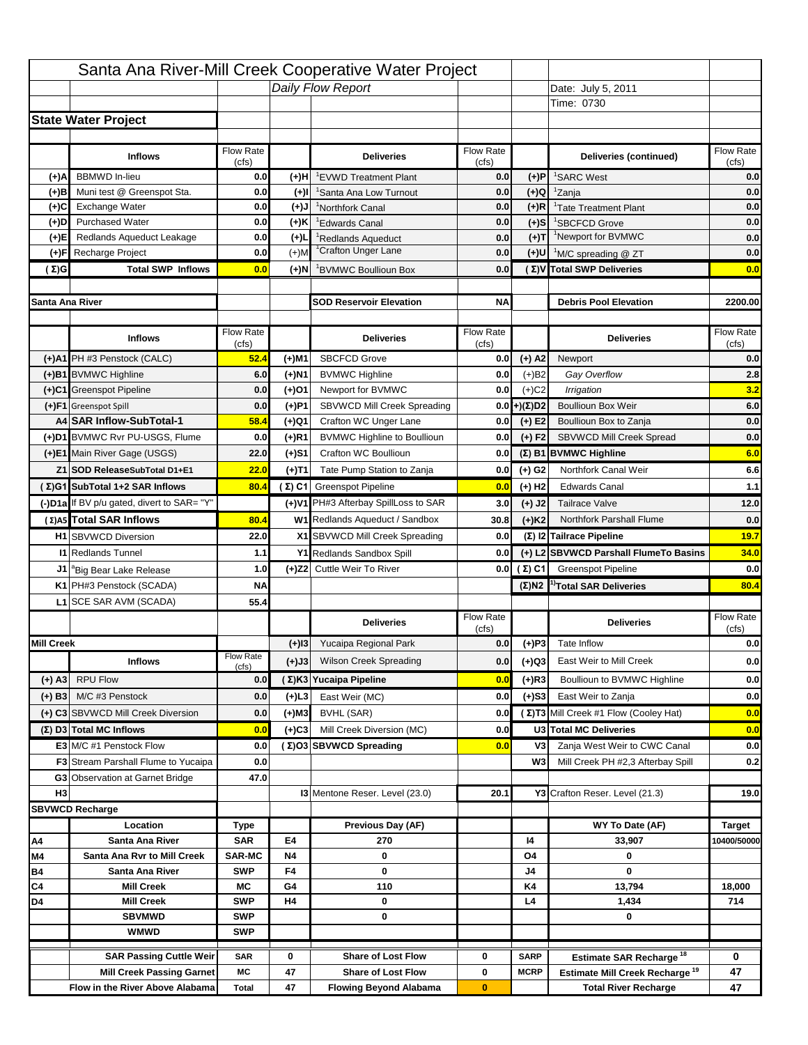|                   |                                              |                    |          | Santa Ana River-Mill Creek Cooperative Water Project |                           |                       |                                                                                         |                           |
|-------------------|----------------------------------------------|--------------------|----------|------------------------------------------------------|---------------------------|-----------------------|-----------------------------------------------------------------------------------------|---------------------------|
|                   |                                              |                    |          | Daily Flow Report                                    |                           |                       | Date: July 26, 2011                                                                     |                           |
|                   |                                              |                    |          |                                                      |                           |                       | Time: 0730                                                                              |                           |
|                   | <b>State Water Project</b>                   |                    |          |                                                      |                           |                       |                                                                                         |                           |
|                   |                                              |                    |          |                                                      |                           |                       |                                                                                         |                           |
|                   | <b>Inflows</b>                               | <b>Flow Rate</b>   |          | <b>Deliveries</b>                                    | <b>Flow Rate</b>          |                       | Deliveries (continued)                                                                  | Flow Rate                 |
|                   |                                              | (cfs)              |          |                                                      | (cts)                     |                       |                                                                                         | (cfs)                     |
| (+)A              | <b>BBMWD</b> In-lieu                         | 0.0                | (+)H     | <sup>1</sup> EVWD Treatment Plant                    | 0.0                       | $(+)P$                | <sup>1</sup> SARC West                                                                  | 0.0                       |
| (+)B              | Muni test @ Greenspot Sta.                   | 0.0                | $(+)$    | 'Santa Ana Low Turnout                               | 0.0                       | (+)Q                  | <sup>1</sup> Zanja                                                                      | 0.0                       |
| (+)C              | <b>Exchange Water</b>                        | 0.0                | (+)J     | <sup>1</sup> Northfork Canal                         | 0.0                       | $(+)R$                | <sup>1</sup> Tate Treatment Plant                                                       | 0.0                       |
| (+)D              | <b>Purchased Water</b>                       | 0.0                | (+)K     | <sup>1</sup> Edwards Canal                           | 0.0                       | $(+)$ S               | <sup>1</sup> SBCFCD Grove<br><sup>1</sup> Newport for BVMWC                             | 0.0                       |
| (+)E              | Redlands Aqueduct Leakage                    | 0.0                | $(+)1$   | Redlands Aqueduct<br><sup>1</sup> Crafton Unger Lane | 0.0                       | $(+)T$                |                                                                                         | 0.0                       |
| (+)F              | Recharge Project<br><b>Total SWP Inflows</b> | 0.0<br>0.0         | $(+)$ M  |                                                      | 0.0                       | $(+)$ U               | <sup>1</sup> M/C spreading @ ZT<br>(Σ)V Total SWP Deliveries                            | 0.0                       |
| $(\Sigma)$ G      |                                              |                    | (+)N     | BVMWC Boullioun Box                                  | 0.0                       |                       |                                                                                         | 0.0                       |
| Santa Ana River   |                                              |                    |          | <b>SOD Reservoir Elevation</b>                       | <b>NA</b>                 |                       | <b>Debris Pool Elevation</b>                                                            | 2200.00                   |
|                   |                                              |                    |          |                                                      |                           |                       |                                                                                         |                           |
|                   | <b>Inflows</b>                               | Flow Rate<br>(cfs) |          | <b>Deliveries</b>                                    | <b>Flow Rate</b><br>(cts) |                       | <b>Deliveries</b>                                                                       | Flow Rate<br>(cfs)        |
|                   | (+)A1 PH #3 Penstock (CALC)                  | 35.4               | (+)M1    | <b>SBCFCD Grove</b>                                  | 0.0                       | $(+)$ A2              | Newport                                                                                 | 0.0                       |
|                   | (+)B1 BVMWC Highline                         | 6.0                | (+)N1    | <b>BVMWC Highline</b>                                | 0.0                       | $(+)B2$               | Gay Overflow                                                                            | 0.8                       |
|                   | (+)C1 Greenspot Pipeline                     | 0.0                | (+)O1    | Newport for BVMWC                                    | 0.0                       | $(+)$ C <sub>2</sub>  | Irrigation                                                                              | 5.2                       |
|                   | (+)F1 Greenspot Spill                        | 0.0                | $(+)$ P1 | SBVWCD Mill Creek Spreading                          | 0.0                       | $(+)(\Sigma)D2$       | <b>Boullioun Box Weir</b>                                                               | 6.0                       |
|                   | A4 SAR Inflow-SubTotal-1                     | 41.4               | (+)Q1    | Crafton WC Unger Lane                                | 0.0                       | $(+)$ E2              | Boullioun Box to Zanja                                                                  | 0.0                       |
|                   | (+)D1 BVMWC Rvr PU-USGS, Flume               | 0.0                | (+)R1    | <b>BVMWC Highline to Boullioun</b>                   | 0.0                       | $(+) F2$              | SBVWCD Mill Creek Spread                                                                | 0.0                       |
|                   | (+)E1 Main River Gage (USGS)                 | 18.0               | $(+)S1$  | <b>Crafton WC Boullioun</b>                          | 0.0                       |                       | $(\Sigma)$ B1 BVMWC Highline                                                            | 6.0                       |
|                   | Z1 SOD ReleaseSubTotal D1+E1                 | 18.0               | (+)T1    | Tate Pump Station to Zanja                           | 0.0                       | $(+)$ G <sub>2</sub>  | Northfork Canal Weir                                                                    | 8.5                       |
|                   | (Σ)G1 SubTotal 1+2 SAR Inflows               | 59.4               |          | $(Σ) C1$ Greenspot Pipeline                          | 0.0                       | $(+)$ H <sub>2</sub>  | <b>Edwards Canal</b>                                                                    | 0.6                       |
|                   | (-)D1a If BV p/u gated, divert to SAR= "Y"   |                    |          | (+)V1 PH#3 Afterbay SpillLoss to SAR                 | 0.0                       | (+) J2                | <b>Tailrace Valve</b>                                                                   | 0.0                       |
|                   | (Σ)A5 Total SAR Inflows                      | 59.4               |          | W1 Redlands Aqueduct / Sandbox                       | 27.1                      | $(+)$ K2              | Northfork Parshall Flume                                                                | 0.0                       |
|                   |                                              |                    |          |                                                      |                           |                       |                                                                                         |                           |
|                   |                                              |                    |          |                                                      |                           |                       |                                                                                         |                           |
|                   | <b>H1</b> SBVWCD Diversion                   | 18.0               |          | X1 SBVWCD Mill Creek Spreading                       | 0.0                       |                       | (Σ) I2 Tailrace Pipeline                                                                | 9.1                       |
|                   | <b>11 Redlands Tunnel</b>                    | 0.8                |          | Y1 Redlands Sandbox Spill                            | 0.0                       |                       | (+) L2 SBVWCD Parshall FlumeTo Basins                                                   | 18.0                      |
| J1                | <sup>a</sup> Big Bear Lake Release           | 1.0                |          | (+)Z2 Cuttle Weir To River                           |                           | $0.0$ ( $\Sigma$ ) C1 | <b>Greenspot Pipeline</b>                                                               |                           |
|                   | K1 PH#3 Penstock (SCADA)                     | <b>NA</b>          |          |                                                      |                           | $(\Sigma)$ N2         | <sup>1)</sup> Total SAR Deliveries                                                      | 59.4                      |
|                   | L1 SCE SAR AVM (SCADA)                       | 44.7               |          |                                                      |                           |                       |                                                                                         |                           |
|                   |                                              |                    |          | <b>Deliveries</b>                                    | Flow Rate                 |                       | <b>Deliveries</b>                                                                       | Flow Rate                 |
| <b>Mill Creek</b> |                                              |                    |          | (+)I3 Yucaipa Regional Park                          | (cts)<br>0.0              | $(+)P3$               | Tate Inflow                                                                             | (cfs)                     |
|                   | <b>Inflows</b>                               | Flow Rate          |          | Wilson Creek Spreading                               | 0.0                       |                       | East Weir to Mill Creek                                                                 |                           |
|                   |                                              | (cfs)              | (+)J3    |                                                      |                           | (+)Q3                 |                                                                                         |                           |
| $(+)$ A3          | <b>RPU Flow</b><br>M/C #3 Penstock           | 10.0               |          | (Σ) K3 Yucaipa Pipeline                              | 0.0                       | $(+)$ R3              | Boullioun to BVMWC Highline                                                             | 0.0<br>18.6<br>9.2<br>0.0 |
| $(+)$ B3          |                                              | 17.8               | (+)L3    | East Weir (MC)                                       | 9.2                       | $(+)$ S3              | East Weir to Zanja                                                                      | 0.0                       |
|                   | (+) C3 SBVWCD Mill Creek Diversion           | 1.8                | $(+)$ M3 | BVHL (SAR)                                           | 0.0                       |                       | (Σ) T3 Mill Creek #1 Flow (Cooley Hat)                                                  | 27.8                      |
|                   | (Σ) D3 Total MC Inflows                      | 29.6               | $(+)$ C3 | Mill Creek Diversion (MC)                            | 1.8                       |                       | U3 Total MC Deliveries                                                                  | 29.6                      |
|                   | <b>E3</b> M/C #1 Penstock Flow               | 27.8               |          | (Σ)O3 SBVWCD Spreading                               | 11.0                      | V3                    | Zanja West Weir to CWC Canal                                                            | 0.0                       |
|                   | <b>F3</b> Stream Parshall Flume to Yucaipa   | 0.0                |          |                                                      |                           | W <sub>3</sub>        | Mill Creek PH #2,3 Afterbay Spill                                                       | 0.0                       |
|                   | <b>G3</b> Observation at Garnet Bridge       | 3.0                |          |                                                      |                           |                       |                                                                                         |                           |
| H <sub>3</sub>    |                                              |                    |          | <b>13 Mentone Reser. Level (23.0)</b>                | 18.6                      |                       | Y3 Crafton Reser. Level (21.3)                                                          | 18.5                      |
|                   | <b>SBVWCD Recharge</b>                       |                    |          |                                                      |                           |                       |                                                                                         |                           |
|                   | Location<br>Santa Ana River                  | Type<br><b>SAR</b> | E4       | Previous Day (AF)<br>36                              |                           | 14                    | WY To Date (AF)<br>35,016                                                               | Target<br>10400/50000     |
| A4<br>M4          | Santa Ana Ryr to Mill Creek                  | <b>SAR-MC</b>      | Ν4       | 0                                                    |                           | O4                    | 0                                                                                       |                           |
| <b>B4</b>         | Santa Ana River                              | <b>SWP</b>         | F4       | 0                                                    |                           | J4                    | 0                                                                                       |                           |
| C4                | <b>Mill Creek</b>                            | МC                 | G4       | 22                                                   |                           | K4                    | 14,375                                                                                  | 18,000                    |
| D4                | <b>Mill Creek</b>                            | <b>SWP</b>         | H4       | 0                                                    |                           | L4                    | 1,434                                                                                   | 714                       |
|                   | <b>SBVMWD</b>                                | <b>SWP</b>         |          | 0                                                    |                           |                       | 0                                                                                       |                           |
|                   | <b>WMWD</b>                                  | <b>SWP</b>         |          |                                                      |                           |                       |                                                                                         |                           |
|                   | <b>SAR Passing Cuttle Weir</b>               | <b>SAR</b>         | 0        | <b>Share of Lost Flow</b>                            | 0                         | <b>SARP</b>           |                                                                                         | 0                         |
|                   | <b>Mill Creek Passing Garnet</b>             | МC                 | 3        | <b>Share of Lost Flow</b>                            | 0                         | <b>MCRP</b>           | Estimate SAR Recharge <sup>18</sup><br><b>Estimate Mill Creek Recharge<sup>19</sup></b> | 3                         |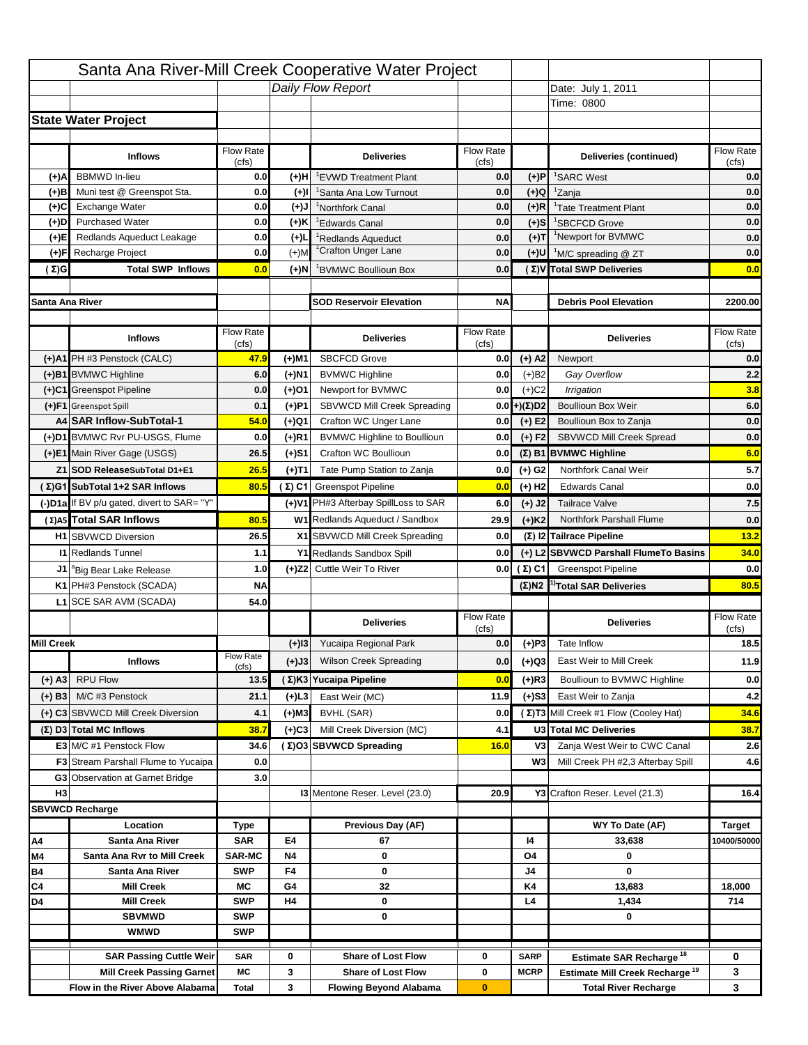|                   |                                                                |                    |               | Santa Ana River-Mill Creek Cooperative Water Project   |                           |                       |                                                                    |                                   |
|-------------------|----------------------------------------------------------------|--------------------|---------------|--------------------------------------------------------|---------------------------|-----------------------|--------------------------------------------------------------------|-----------------------------------|
|                   |                                                                |                    |               | Daily Flow Report                                      |                           |                       | Date: July 25, 2011                                                |                                   |
|                   |                                                                |                    |               |                                                        |                           |                       | Time: 0745                                                         |                                   |
|                   | <b>State Water Project</b>                                     |                    |               |                                                        |                           |                       |                                                                    |                                   |
|                   |                                                                |                    |               |                                                        |                           |                       |                                                                    |                                   |
|                   | <b>Inflows</b>                                                 | <b>Flow Rate</b>   |               | <b>Deliveries</b>                                      | <b>Flow Rate</b>          |                       | Deliveries (continued)                                             | Flow Rate                         |
|                   | <b>BBMWD</b> In-lieu                                           | (cfs)              |               |                                                        | (cts)<br>0.0              |                       |                                                                    | (cfs)<br>0.0                      |
| (+)A<br>(+)B      | Muni test @ Greenspot Sta.                                     | 0.0<br>0.0         | (+)H<br>$(+)$ | <sup>1</sup> EVWD Treatment Plant                      | 0.0                       | $(+)P$<br>(+)Q        | <sup>1</sup> SARC West<br><sup>1</sup> Zanja                       | 0.0                               |
| (+)C              | <b>Exchange Water</b>                                          | 0.0                | (+)J          | 'Santa Ana Low Turnout<br><sup>1</sup> Northfork Canal | 0.0                       | $(+)R$                | <sup>1</sup> Tate Treatment Plant                                  | 0.0                               |
| (+)D              | <b>Purchased Water</b>                                         | 0.0                | (+)K          | <sup>1</sup> Edwards Canal                             | 0.0                       | $(+)$ S               | <sup>1</sup> SBCFCD Grove                                          | 0.0                               |
| (+)E              | Redlands Aqueduct Leakage                                      | 0.0                | $(+)1$        | Redlands Aqueduct                                      | 0.0                       | $(+)T$                | <sup>1</sup> Newport for BVMWC                                     | 0.0                               |
| (+)F              | Recharge Project                                               | 0.0                | $(+)$ M       | <sup>1</sup> Crafton Unger Lane                        | 0.0                       | $(+)$ U               | <sup>1</sup> M/C spreading @ ZT                                    | 0.0                               |
| $(\Sigma)$ G      | <b>Total SWP Inflows</b>                                       | 0.0                | (+)N          | BVMWC Boullioun Box                                    | 0.0                       |                       | (Σ)V Total SWP Deliveries                                          | 0.0                               |
|                   |                                                                |                    |               |                                                        |                           |                       |                                                                    |                                   |
| Santa Ana River   |                                                                |                    |               | <b>SOD Reservoir Elevation</b>                         | <b>NA</b>                 |                       | <b>Debris Pool Elevation</b>                                       | 2200.00                           |
|                   |                                                                |                    |               |                                                        |                           |                       |                                                                    |                                   |
|                   | <b>Inflows</b>                                                 | Flow Rate<br>(cfs) |               | <b>Deliveries</b>                                      | <b>Flow Rate</b><br>(cts) |                       | <b>Deliveries</b>                                                  | Flow Rate<br>(cfs)                |
|                   | (+)A1 PH #3 Penstock (CALC)                                    | 35.8               | (+)M1         | <b>SBCFCD Grove</b>                                    | 0.0                       | $(+)$ A2              | Newport                                                            | 0.0                               |
|                   | (+)B1 BVMWC Highline                                           | 6.0                | (+)N1         | <b>BVMWC Highline</b>                                  | 0.0                       | $(+)B2$               | Gay Overflow                                                       | 3.0                               |
|                   | (+)C1 Greenspot Pipeline                                       | 0.0                | (+)O1         | Newport for BVMWC                                      | 0.0                       | $(+)$ C <sub>2</sub>  | Irrigation                                                         | 3.0                               |
|                   | (+)F1 Greenspot Spill                                          | 0.0                | $(+)$ P1      | SBVWCD Mill Creek Spreading                            | 0.0                       | $(+)(\Sigma)D2$       | <b>Boullioun Box Weir</b>                                          | 6.0                               |
|                   | A4 SAR Inflow-SubTotal-1                                       | 41.8               | (+)Q1         | Crafton WC Unger Lane                                  | 0.0                       | $(+)$ E2              | Boullioun Box to Zanja                                             | 0.0                               |
|                   | (+)D1 BVMWC Rvr PU-USGS, Flume                                 | 0.0                | (+)R1         | <b>BVMWC Highline to Boullioun</b>                     | 0.0                       | $(+) F2$              | SBVWCD Mill Creek Spread                                           | 0.0                               |
|                   | (+)E1 Main River Gage (USGS)                                   | 18.0               | $(+)S1$       | <b>Crafton WC Boullioun</b>                            | 0.0                       |                       | $(\Sigma)$ B1 BVMWC Highline                                       | 6.0                               |
|                   | Z1 SOD ReleaseSubTotal D1+E1                                   | 18.0               | (+)T1         | Tate Pump Station to Zanja                             | 0.0                       | $(+)$ G <sub>2</sub>  | Northfork Canal Weir                                               | 8.5                               |
|                   | (Σ)G1 SubTotal 1+2 SAR Inflows                                 | 59.8               |               | $(Σ) C1$ Greenspot Pipeline                            | 0.0                       | $(+)$ H <sub>2</sub>  | <b>Edwards Canal</b>                                               | 0.0                               |
|                   | (-)D1a If BV p/u gated, divert to SAR= "Y"                     |                    |               | (+)V1 PH#3 Afterbay SpillLoss to SAR                   | 0.0                       | (+) J2                | <b>Tailrace Valve</b>                                              | 0.0                               |
|                   | (Σ)A5 Total SAR Inflows                                        | 59.8               |               | W1 Redlands Aqueduct / Sandbox                         | 28.1                      | $(+)$ K2              | Northfork Parshall Flume                                           | 0.0                               |
|                   |                                                                |                    |               |                                                        |                           |                       |                                                                    |                                   |
|                   | <b>H1</b> SBVWCD Diversion                                     | 18.0               |               | X1 SBVWCD Mill Creek Spreading                         | 0.0                       |                       | (Σ) I2 Tailrace Pipeline                                           |                                   |
|                   | <b>11 Redlands Tunnel</b>                                      | 0.8                |               | Y1 Redlands Sandbox Spill                              | 0.0                       |                       |                                                                    | 8.5<br>18.0                       |
| J1                |                                                                | 1.0                |               | (+)Z2 Cuttle Weir To River                             |                           | $0.0$ ( $\Sigma$ ) C1 | (+) L2 SBVWCD Parshall FlumeTo Basins<br><b>Greenspot Pipeline</b> | 0.0                               |
|                   | <sup>a</sup> Big Bear Lake Release<br>K1 PH#3 Penstock (SCADA) | <b>NA</b>          |               |                                                        |                           | $(\Sigma)$ N2         |                                                                    |                                   |
|                   |                                                                | 41.6               |               |                                                        |                           |                       | <sup>1)</sup> Total SAR Deliveries                                 |                                   |
|                   | L1 SCE SAR AVM (SCADA)                                         |                    |               |                                                        | Flow Rate                 |                       |                                                                    | Flow Rate                         |
|                   |                                                                |                    |               | <b>Deliveries</b>                                      | (cts)                     |                       | <b>Deliveries</b>                                                  | (cfs)                             |
| <b>Mill Creek</b> |                                                                |                    |               | (+)I3 Yucaipa Regional Park                            | 0.0                       | $(+)P3$               | Tate Inflow                                                        |                                   |
|                   | <b>Inflows</b>                                                 | Flow Rate<br>(cfs) | (+)J3         | Wilson Creek Spreading                                 | 0.0                       | (+)Q3                 | East Weir to Mill Creek                                            |                                   |
| $(+)$ A3          | <b>RPU Flow</b>                                                | 16.7               |               | (Σ) K3 Yucaipa Pipeline                                | 0.0                       | $(+)$ R3              | Boullioun to BVMWC Highline                                        | 59.8<br>18.6<br>$11.0$<br>$0.0\,$ |
| $(+)$ B3          | M/C #3 Penstock                                                | 15.5               | (+)L3         | East Weir (MC)                                         | 11.0                      | $(+)$ S3              | East Weir to Zanja                                                 | 2.6                               |
|                   | (+) C3 SBVWCD Mill Creek Diversion                             | 0.0                | $(+)$ M3      | BVHL (SAR)                                             | 0.0                       |                       | (Σ) T3 Mill Creek #1 Flow (Cooley Hat)                             | 32.2                              |
|                   | (Σ) D3 Total MC Inflows                                        | 32.2               | $(+)$ C3      | Mill Creek Diversion (MC)                              | 0.0                       |                       | U3 Total MC Deliveries                                             | 32.2                              |
|                   | E3 M/C #1 Penstock Flow                                        | 32.2               |               | (Σ)O3 SBVWCD Spreading                                 | 11.0                      | V3                    | Zanja West Weir to CWC Canal                                       | 1.9                               |
|                   | <b>F3</b> Stream Parshall Flume to Yucaipa                     | 0.0                |               |                                                        |                           | W <sub>3</sub>        | Mill Creek PH #2,3 Afterbay Spill                                  |                                   |
|                   | <b>G3</b> Observation at Garnet Bridge                         | 3.0                |               |                                                        |                           |                       |                                                                    | 2.3                               |
| H <sub>3</sub>    |                                                                |                    |               | <b>13 Mentone Reser. Level (23.0)</b>                  | 19.3                      |                       | Y3 Crafton Reser. Level (21.3)                                     | 19.0                              |
|                   | <b>SBVWCD Recharge</b>                                         |                    |               |                                                        |                           |                       |                                                                    |                                   |
|                   | Location                                                       | Type               |               | Previous Day (AF)                                      |                           |                       | WY To Date (AF)                                                    | Target                            |
| A4                | Santa Ana River                                                | <b>SAR</b>         | E4            | 107                                                    |                           | 14                    | 34,908                                                             |                                   |
| M4                | Santa Ana Ryr to Mill Creek                                    | <b>SAR-MC</b>      | Ν4            | 0                                                      |                           | O4                    | 0                                                                  |                                   |
| <b>B4</b>         | Santa Ana River                                                | <b>SWP</b>         | F4            | 0                                                      |                           | J4                    | 0                                                                  |                                   |
| C4                | <b>Mill Creek</b>                                              | МC                 | G4            | 65                                                     |                           | K4                    | 14,353                                                             | 18,000                            |
| D4                | <b>Mill Creek</b>                                              | <b>SWP</b>         | H4            | 0                                                      |                           | L4                    | 1,434                                                              | 10400/50000<br>714                |
|                   | <b>SBVMWD</b>                                                  | <b>SWP</b>         |               | 0                                                      |                           |                       | 0                                                                  |                                   |
|                   | <b>WMWD</b>                                                    | <b>SWP</b>         |               |                                                        |                           |                       |                                                                    |                                   |
|                   | <b>SAR Passing Cuttle Weir</b>                                 | <b>SAR</b>         | 0             | <b>Share of Lost Flow</b>                              | 0                         | <b>SARP</b>           | Estimate SAR Recharge <sup>18</sup>                                | 0                                 |
|                   | <b>Mill Creek Passing Garnet</b>                               | МC                 | 3             | <b>Share of Lost Flow</b>                              | 0                         | <b>MCRP</b>           | <b>Estimate Mill Creek Recharge<sup>19</sup></b>                   | 3                                 |